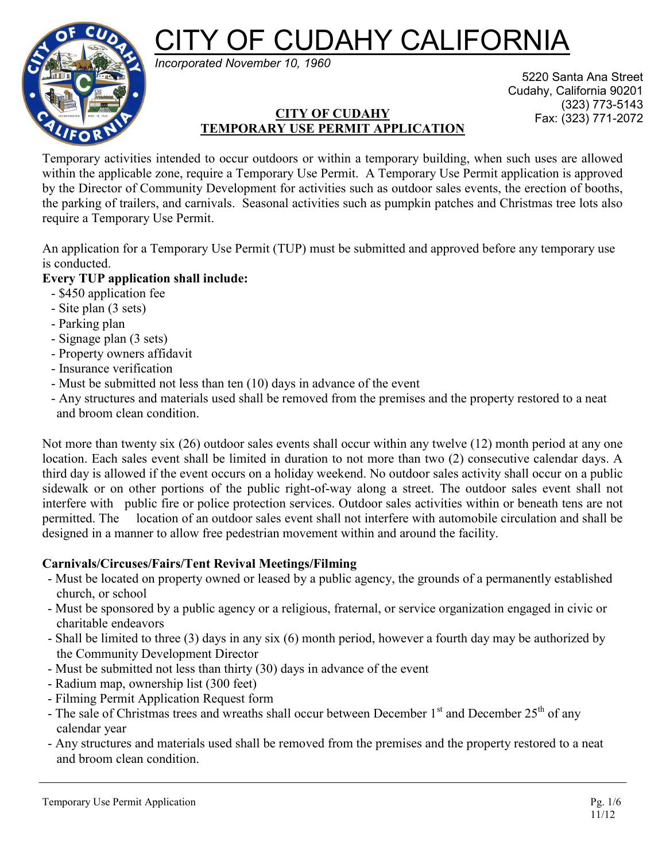**F CUDAHY CALIFORNIA** 



*Incorporated November 10, 1960*

# **CITY OF CUDAHY** Fax: (323) 771-2072 **TEMPORARY USE PERMIT APPLICATION**

5220 Santa Ana Street Cudahy, California 90201 (323) 773-5143

Temporary activities intended to occur outdoors or within a temporary building, when such uses are allowed within the applicable zone, require a Temporary Use Permit. A Temporary Use Permit application is approved by the Director of Community Development for activities such as outdoor sales events, the erection of booths, the parking of trailers, and carnivals. Seasonal activities such as pumpkin patches and Christmas tree lots also require a Temporary Use Permit.

An application for a Temporary Use Permit (TUP) must be submitted and approved before any temporary use is conducted.

## **Every TUP application shall include:**

- \$450 application fee
- Site plan (3 sets)
- Parking plan
- Signage plan (3 sets)
- Property owners affidavit
- Insurance verification
- Must be submitted not less than ten (10) days in advance of the event
- Any structures and materials used shall be removed from the premises and the property restored to a neat and broom clean condition.

Not more than twenty six (26) outdoor sales events shall occur within any twelve (12) month period at any one location. Each sales event shall be limited in duration to not more than two (2) consecutive calendar days. A third day is allowed if the event occurs on a holiday weekend. No outdoor sales activity shall occur on a public sidewalk or on other portions of the public right-of-way along a street. The outdoor sales event shall not interfere with public fire or police protection services. Outdoor sales activities within or beneath tens are not permitted. The location of an outdoor sales event shall not interfere with automobile circulation and shall be designed in a manner to allow free pedestrian movement within and around the facility.

## **Carnivals/Circuses/Fairs/Tent Revival Meetings/Filming**

- Must be located on property owned or leased by a public agency, the grounds of a permanently established church, or school
- Must be sponsored by a public agency or a religious, fraternal, or service organization engaged in civic or charitable endeavors
- Shall be limited to three (3) days in any six (6) month period, however a fourth day may be authorized by the Community Development Director
- Must be submitted not less than thirty (30) days in advance of the event
- Radium map, ownership list (300 feet)
- Filming Permit Application Request form
- The sale of Christmas trees and wreaths shall occur between December  $1<sup>st</sup>$  and December  $25<sup>th</sup>$  of any calendar year
- Any structures and materials used shall be removed from the premises and the property restored to a neat and broom clean condition.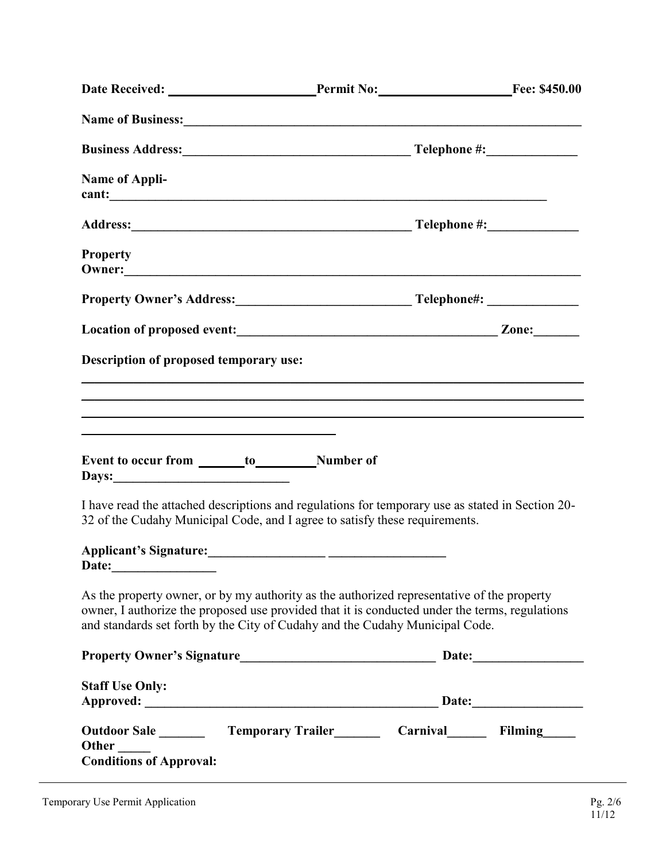| Date Received: Permit No: Fee: \$450.00                                                                                                                                                                                                                                      |  |  |  |  |
|------------------------------------------------------------------------------------------------------------------------------------------------------------------------------------------------------------------------------------------------------------------------------|--|--|--|--|
| Name of Business: 1988 and 2008 and 2008 and 2008 and 2008 and 2008 and 2008 and 2008 and 2008 and 2008 and 2008 and 2008 and 2008 and 2008 and 2008 and 2008 and 2008 and 2008 and 2008 and 2008 and 2008 and 2008 and 2008 a                                               |  |  |  |  |
|                                                                                                                                                                                                                                                                              |  |  |  |  |
| Name of Appli-<br>cant:                                                                                                                                                                                                                                                      |  |  |  |  |
|                                                                                                                                                                                                                                                                              |  |  |  |  |
| <b>Property</b>                                                                                                                                                                                                                                                              |  |  |  |  |
|                                                                                                                                                                                                                                                                              |  |  |  |  |
|                                                                                                                                                                                                                                                                              |  |  |  |  |
| Description of proposed temporary use:                                                                                                                                                                                                                                       |  |  |  |  |
|                                                                                                                                                                                                                                                                              |  |  |  |  |
| ,我们也不会有什么。""我们的人,我们也不会有什么?""我们的人,我们也不会有什么?""我们的人,我们也不会有什么?""我们的人,我们也不会有什么?""我们的人                                                                                                                                                                                             |  |  |  |  |
|                                                                                                                                                                                                                                                                              |  |  |  |  |
| Event to occur from ________ to____________Number of                                                                                                                                                                                                                         |  |  |  |  |
| I have read the attached descriptions and regulations for temporary use as stated in Section 20-<br>32 of the Cudahy Municipal Code, and I agree to satisfy these requirements.                                                                                              |  |  |  |  |
| Date:                                                                                                                                                                                                                                                                        |  |  |  |  |
| As the property owner, or by my authority as the authorized representative of the property<br>owner, I authorize the proposed use provided that it is conducted under the terms, regulations<br>and standards set forth by the City of Cudahy and the Cudahy Municipal Code. |  |  |  |  |
|                                                                                                                                                                                                                                                                              |  |  |  |  |
| <b>Staff Use Only:</b>                                                                                                                                                                                                                                                       |  |  |  |  |
|                                                                                                                                                                                                                                                                              |  |  |  |  |
| Outdoor Sale _________ Temporary Trailer__________ Carnival_________ Filming_____<br>Other<br><b>Conditions of Approval:</b>                                                                                                                                                 |  |  |  |  |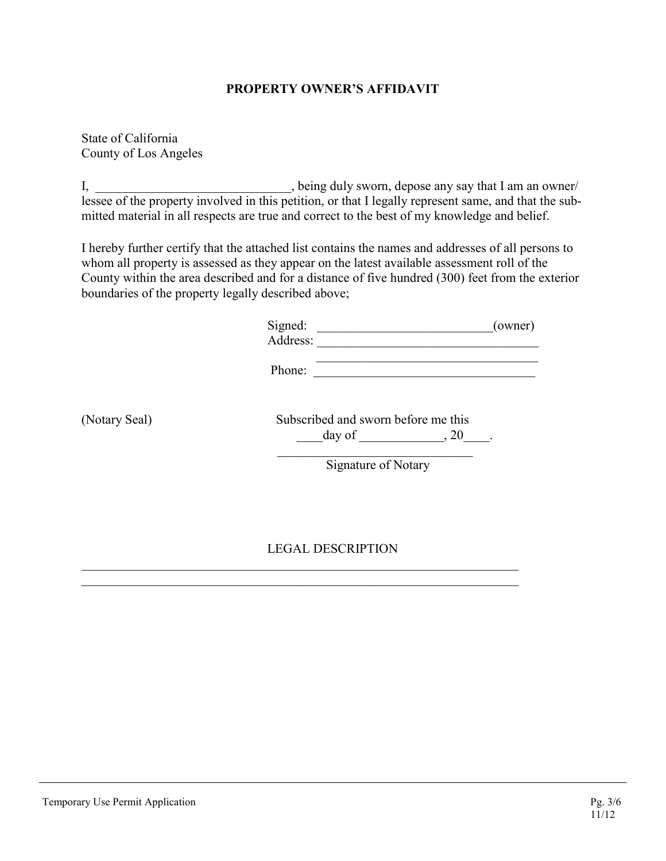### **PROPERTY OWNER'S AFFIDAVIT**

State of California County of Los Angeles

I, \_\_\_\_\_\_\_\_\_\_\_\_\_\_\_\_\_\_\_\_\_\_\_\_\_, being duly sworn, depose any say that I am an owner/ lessee of the property involved in this petition, or that I legally represent same, and that the submitted material in all respects are true and correct to the best of my knowledge and belief.

I hereby further certify that the attached list contains the names and addresses of all persons to whom all property is assessed as they appear on the latest available assessment roll of the County within the area described and for a distance of five hundred (300) feet from the exterior boundaries of the property legally described above;

| Signed:  | (owner) |
|----------|---------|
| Address: |         |
|          |         |

Phone:

(Notary Seal)

|        | Subscribed and sworn before me this |  |
|--------|-------------------------------------|--|
| day of |                                     |  |

Signature of Notary

### LEGAL DESCRIPTION

 $\mathcal{L}_\mathcal{L}$  , and the contribution of the contribution of the contribution of the contribution of the contribution of the contribution of the contribution of the contribution of the contribution of the contribution of  $\mathcal{L}_\mathcal{L}$  , and the contribution of the contribution of the contribution of the contribution of the contribution of the contribution of the contribution of the contribution of the contribution of the contribution of

 $\mathcal{L}_\text{max}$  and  $\mathcal{L}_\text{max}$  and  $\mathcal{L}_\text{max}$  and  $\mathcal{L}_\text{max}$  and  $\mathcal{L}_\text{max}$  and  $\mathcal{L}_\text{max}$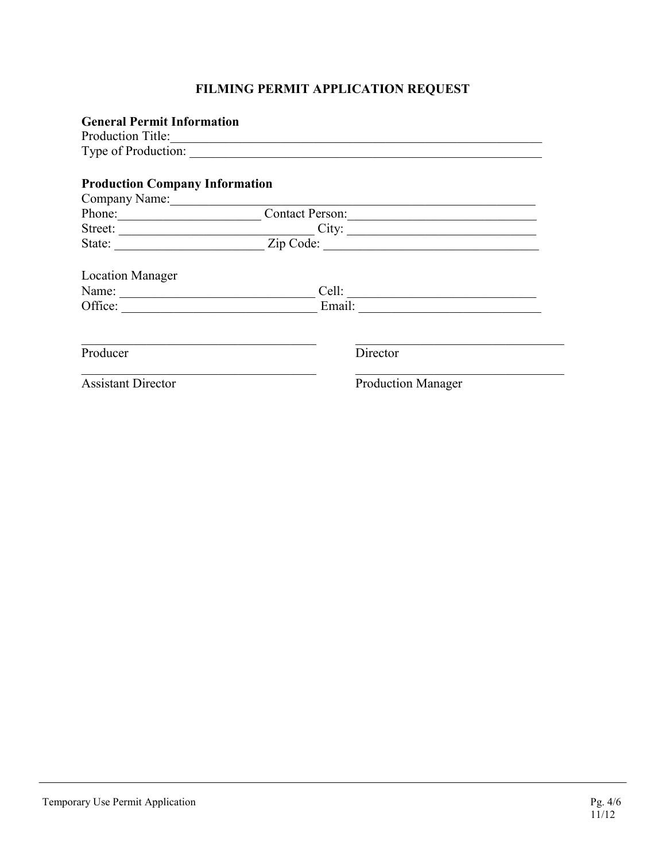## **FILMING PERMIT APPLICATION REQUEST**

| <b>General Permit Information</b>     |                           |  |  |
|---------------------------------------|---------------------------|--|--|
|                                       | Production Title:         |  |  |
|                                       |                           |  |  |
|                                       |                           |  |  |
| <b>Production Company Information</b> |                           |  |  |
| Company Name:                         |                           |  |  |
| Phone:                                | Contact Person:           |  |  |
|                                       | Street: City:             |  |  |
|                                       |                           |  |  |
| <b>Location Manager</b>               |                           |  |  |
| Name:                                 |                           |  |  |
| Office:                               |                           |  |  |
|                                       |                           |  |  |
| Producer                              | Director                  |  |  |
| <b>Assistant Director</b>             | <b>Production Manager</b> |  |  |
|                                       |                           |  |  |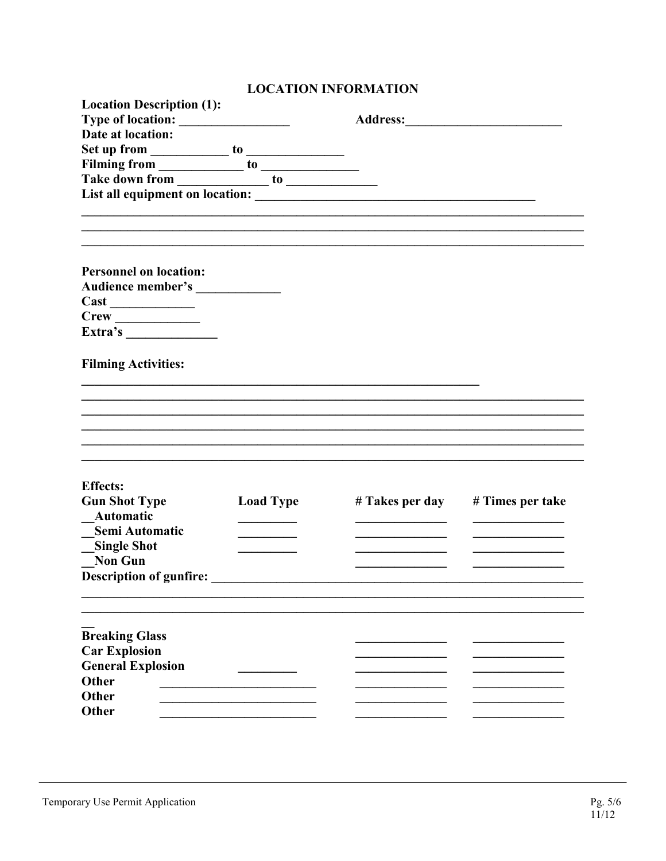# **LOCATION INFORMATION**

| <b>Location Description (1):</b>                                                                                                                                                                                               |                  |                                                                                                                                                                                                                                |                  |
|--------------------------------------------------------------------------------------------------------------------------------------------------------------------------------------------------------------------------------|------------------|--------------------------------------------------------------------------------------------------------------------------------------------------------------------------------------------------------------------------------|------------------|
|                                                                                                                                                                                                                                |                  | Address: The Second Second Second Second Second Second Second Second Second Second Second Second Second Second Second Second Second Second Second Second Second Second Second Second Second Second Second Second Second Second |                  |
| Date at location:                                                                                                                                                                                                              |                  |                                                                                                                                                                                                                                |                  |
|                                                                                                                                                                                                                                |                  |                                                                                                                                                                                                                                |                  |
| Set up from to to the Filming from to to the set of the set of the set of the set of the set of the set of the set of the set of the set of the set of the set of the set of the set of the set of the set of the set of the s |                  |                                                                                                                                                                                                                                |                  |
|                                                                                                                                                                                                                                |                  |                                                                                                                                                                                                                                |                  |
|                                                                                                                                                                                                                                |                  |                                                                                                                                                                                                                                |                  |
|                                                                                                                                                                                                                                |                  |                                                                                                                                                                                                                                |                  |
|                                                                                                                                                                                                                                |                  |                                                                                                                                                                                                                                |                  |
|                                                                                                                                                                                                                                |                  |                                                                                                                                                                                                                                |                  |
|                                                                                                                                                                                                                                |                  |                                                                                                                                                                                                                                |                  |
| <b>Personnel on location:</b>                                                                                                                                                                                                  |                  |                                                                                                                                                                                                                                |                  |
| Audience member's _____________                                                                                                                                                                                                |                  |                                                                                                                                                                                                                                |                  |
|                                                                                                                                                                                                                                |                  |                                                                                                                                                                                                                                |                  |
| $Crew \_$                                                                                                                                                                                                                      |                  |                                                                                                                                                                                                                                |                  |
| Extra's $\qquad \qquad$                                                                                                                                                                                                        |                  |                                                                                                                                                                                                                                |                  |
|                                                                                                                                                                                                                                |                  |                                                                                                                                                                                                                                |                  |
| <b>Filming Activities:</b>                                                                                                                                                                                                     |                  |                                                                                                                                                                                                                                |                  |
|                                                                                                                                                                                                                                |                  |                                                                                                                                                                                                                                |                  |
|                                                                                                                                                                                                                                |                  |                                                                                                                                                                                                                                |                  |
|                                                                                                                                                                                                                                |                  |                                                                                                                                                                                                                                |                  |
|                                                                                                                                                                                                                                |                  |                                                                                                                                                                                                                                |                  |
|                                                                                                                                                                                                                                |                  |                                                                                                                                                                                                                                |                  |
|                                                                                                                                                                                                                                |                  |                                                                                                                                                                                                                                |                  |
|                                                                                                                                                                                                                                |                  |                                                                                                                                                                                                                                |                  |
| <b>Effects:</b>                                                                                                                                                                                                                |                  |                                                                                                                                                                                                                                |                  |
| <b>Gun Shot Type</b>                                                                                                                                                                                                           | <b>Load Type</b> | # Takes per day                                                                                                                                                                                                                | # Times per take |
| Automatic                                                                                                                                                                                                                      |                  |                                                                                                                                                                                                                                |                  |
| Semi Automatic                                                                                                                                                                                                                 |                  |                                                                                                                                                                                                                                |                  |
| <b>Single Shot</b>                                                                                                                                                                                                             |                  |                                                                                                                                                                                                                                |                  |
| <b>Non Gun</b>                                                                                                                                                                                                                 |                  |                                                                                                                                                                                                                                |                  |
| <b>Description of gunfire:</b>                                                                                                                                                                                                 |                  |                                                                                                                                                                                                                                |                  |
|                                                                                                                                                                                                                                |                  |                                                                                                                                                                                                                                |                  |
|                                                                                                                                                                                                                                |                  |                                                                                                                                                                                                                                |                  |
|                                                                                                                                                                                                                                |                  |                                                                                                                                                                                                                                |                  |
| <b>Breaking Glass</b>                                                                                                                                                                                                          |                  |                                                                                                                                                                                                                                |                  |
| <b>Car Explosion</b>                                                                                                                                                                                                           |                  |                                                                                                                                                                                                                                |                  |
| <b>General Explosion</b>                                                                                                                                                                                                       |                  |                                                                                                                                                                                                                                |                  |
| Other                                                                                                                                                                                                                          |                  |                                                                                                                                                                                                                                |                  |
| Other                                                                                                                                                                                                                          |                  |                                                                                                                                                                                                                                |                  |
| Other                                                                                                                                                                                                                          |                  |                                                                                                                                                                                                                                |                  |
|                                                                                                                                                                                                                                |                  |                                                                                                                                                                                                                                |                  |